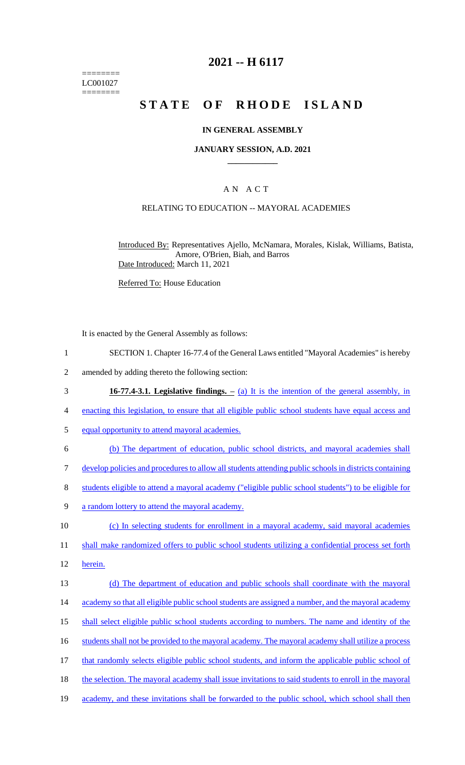======== LC001027 ========

# **2021 -- H 6117**

# **STATE OF RHODE ISLAND**

### **IN GENERAL ASSEMBLY**

#### **JANUARY SESSION, A.D. 2021 \_\_\_\_\_\_\_\_\_\_\_\_**

### A N A C T

### RELATING TO EDUCATION -- MAYORAL ACADEMIES

Introduced By: Representatives Ajello, McNamara, Morales, Kislak, Williams, Batista, Amore, O'Brien, Biah, and Barros Date Introduced: March 11, 2021

Referred To: House Education

It is enacted by the General Assembly as follows:

- 1 SECTION 1. Chapter 16-77.4 of the General Laws entitled "Mayoral Academies" is hereby
- 2 amended by adding thereto the following section:
- 3 **16-77.4-3.1. Legislative findings. –** (a) It is the intention of the general assembly, in
- 4 enacting this legislation, to ensure that all eligible public school students have equal access and
- 5 equal opportunity to attend mayoral academies.
- 6 (b) The department of education, public school districts, and mayoral academies shall

7 develop policies and procedures to allow all students attending public schools in districts containing

- 8 students eligible to attend a mayoral academy ("eligible public school students") to be eligible for
- 9 a random lottery to attend the mayoral academy.

10 (c) In selecting students for enrollment in a mayoral academy, said mayoral academies 11 shall make randomized offers to public school students utilizing a confidential process set forth

12 herein.

13 (d) The department of education and public schools shall coordinate with the mayoral 14 academy so that all eligible public school students are assigned a number, and the mayoral academy 15 shall select eligible public school students according to numbers. The name and identity of the 16 students shall not be provided to the mayoral academy. The mayoral academy shall utilize a process 17 that randomly selects eligible public school students, and inform the applicable public school of 18 the selection. The mayoral academy shall issue invitations to said students to enroll in the mayoral 19 academy, and these invitations shall be forwarded to the public school, which school shall then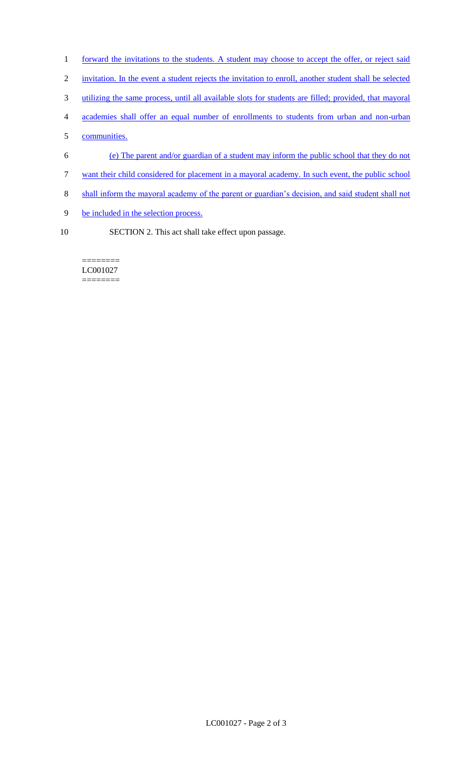- 1 forward the invitations to the students. A student may choose to accept the offer, or reject said
- 2 invitation. In the event a student rejects the invitation to enroll, another student shall be selected
- 3 utilizing the same process, until all available slots for students are filled; provided, that mayoral
- 4 academies shall offer an equal number of enrollments to students from urban and non-urban
- 5 communities.
- 6 (e) The parent and/or guardian of a student may inform the public school that they do not
- 7 want their child considered for placement in a mayoral academy. In such event, the public school
- 8 shall inform the mayoral academy of the parent or guardian's decision, and said student shall not
- 9 be included in the selection process.
- 10 SECTION 2. This act shall take effect upon passage.

#### ======== LC001027 ========